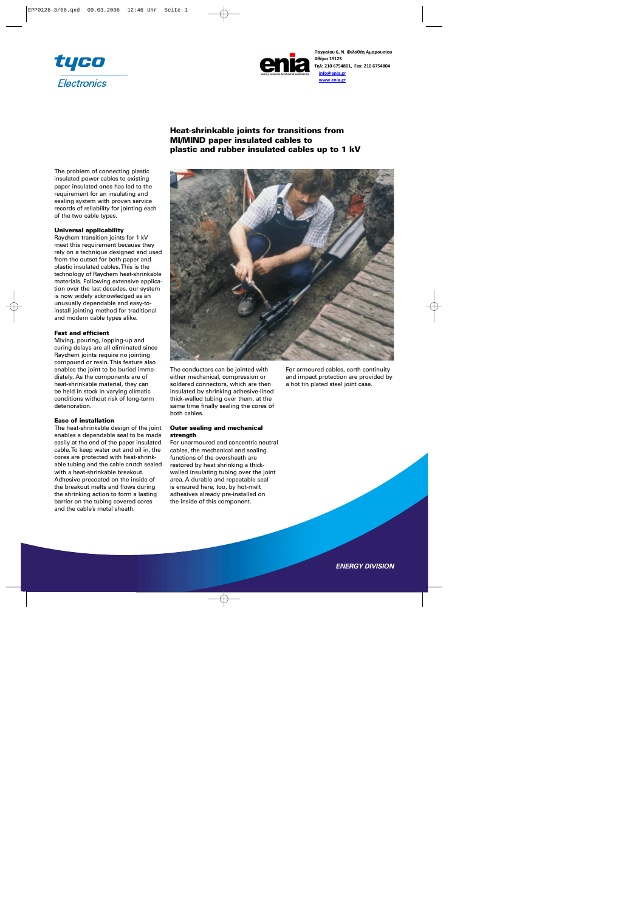



**Παγγαίου 6, Ν. Φιλοθέη Αμαρουσίου Αθήνα 15123 Τηλ: 210 6754801, Fax: 210 6754804 info@enia.gr www.enia.gr**

The problem of connecting plastic insulated power cables to existing paper insulated ones has led to the requirement for an insulating and sealing system with proven service records of reliability for jointing each of the two cable types.

## **Universal applicability**

Raychem transition joints for 1 kV meet this requirement because they rely on a technique designed and used from the outset for both paper and plastic insulated cables. This is the technology of Raychem heat-shrinkable materials. Following extensive application over the last decades, our system is now widely acknowledged as an unusually dependable and easy-toinstall jointing method for traditional and modern cable types alike.

### **Fast and efficient**

Mixing, pouring, lopping-up and curing delays are all eliminated since Raychem joints require no jointing compound or resin. This feature also enables the joint to be buried immediately. As the components are of heat-shrinkable material, they can be held in stock in varying climatic conditions without risk of long-term deterioration.

#### **Ease of installation**

The heat-shrinkable design of the joint enables a dependable seal to be made easily at the end of the paper insulated cable. To keep water out and oil in, the cores are protected with heat-shrinkable tubing and the cable crutch sealed with a heat-shrinkable breakout. Adhesive precoated on the inside of the breakout melts and flows during the shrinking action to form a lasting barrier on the tubing covered cores and the cable's metal sheath.

**Heat-shrinkable joints for transitions from MI/MIND paper insulated cables to plastic and rubber insulated cables up to 1 kV**



The conductors can be jointed with either mechanical, compression or soldered connectors, which are then insulated by shrinking adhesive-lined thick-walled tubing over them, at the same time finally sealing the cores of both cables.

## **Outer sealing and mechanical strength**

For unarmoured and concentric neutral cables, the mechanical and sealing functions of the oversheath are restored by heat shrinking a thickwalled insulating tubing over the joint area. A durable and repeatable seal is ensured here, too, by hot-melt adhesives already pre-installed on the inside of this component.

For armoured cables, earth continuity and impact protection are provided by a hot tin plated steel joint case.